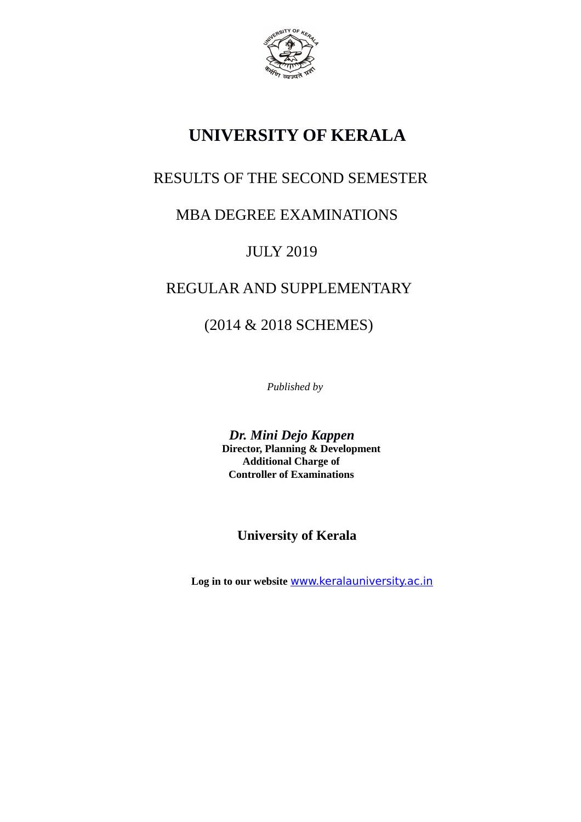

# **UNIVERSITY OF KERALA**

# RESULTS OF THE SECOND SEMESTER

# MBA DEGREE EXAMINATIONS

# JULY 2019

# REGULAR AND SUPPLEMENTARY

# (2014 & 2018 SCHEMES)

*Published by*

 *Dr. Mini Dejo Kappen* **Director, Planning & Development Additional Charge of Controller of Examinations**

# **University of Kerala**

 **Log in to our website** [www.keralauniversity.ac.in](http://www.keralauniversity.ac.in/)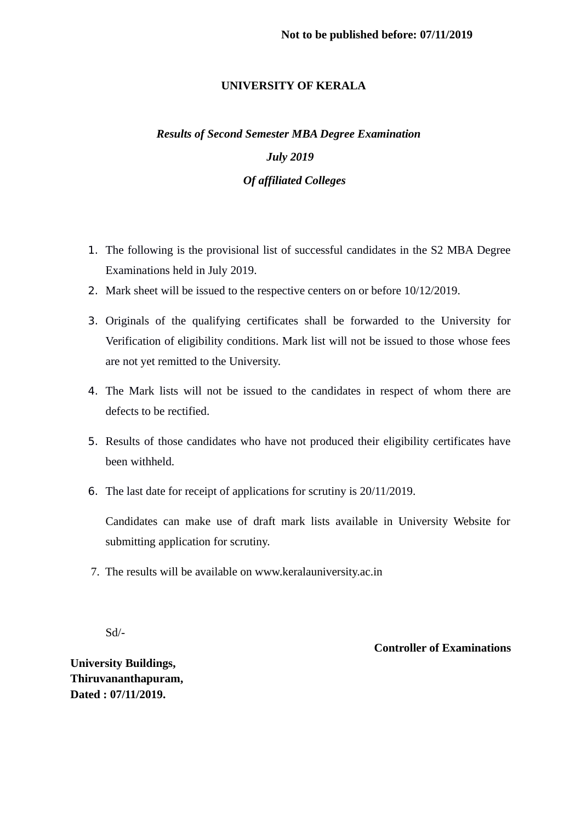## **UNIVERSITY OF KERALA**

# *Results of Second Semester MBA Degree Examination July 2019 Of affiliated Colleges*

- 1. The following is the provisional list of successful candidates in the S2 MBA Degree Examinations held in July 2019.
- 2. Mark sheet will be issued to the respective centers on or before 10/12/2019.
- 3. Originals of the qualifying certificates shall be forwarded to the University for Verification of eligibility conditions. Mark list will not be issued to those whose fees are not yet remitted to the University.
- 4. The Mark lists will not be issued to the candidates in respect of whom there are defects to be rectified.
- 5. Results of those candidates who have not produced their eligibility certificates have been withheld.
- 6. The last date for receipt of applications for scrutiny is 20/11/2019.

Candidates can make use of draft mark lists available in University Website for submitting application for scrutiny.

7. The results will be available on www.keralauniversity.ac.in

Sd/-

## **Controller of Examinations**

**University Buildings, Thiruvananthapuram, Dated : 07/11/2019.**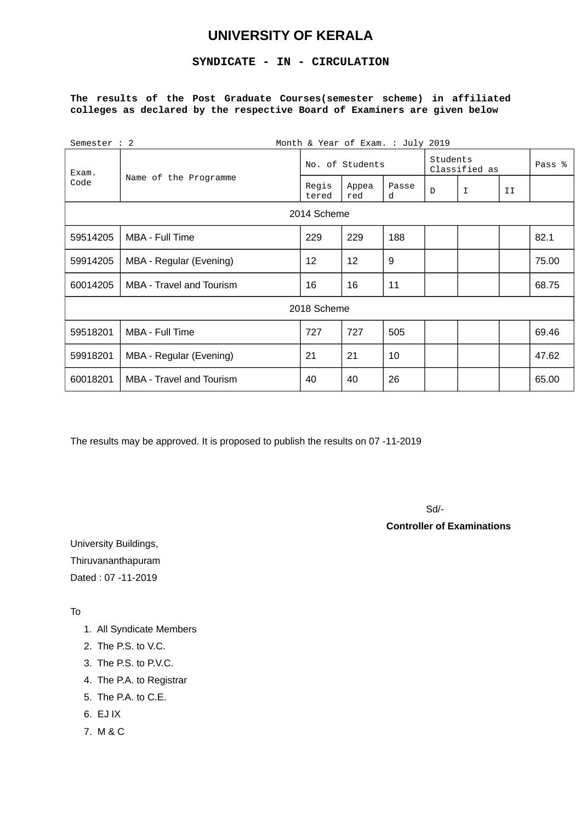## **UNIVERSITY OF KERALA**

## **SYNDICATE - IN - CIRCULATION**

### **The results of the Post Graduate Courses(semester scheme) in affiliated colleges as declared by the respective Board of Examiners are given below**

| Semester : 2 |                                 |                | Month & Year of Exam. : July 2019 |                           |        |   |    |       |  |  |
|--------------|---------------------------------|----------------|-----------------------------------|---------------------------|--------|---|----|-------|--|--|
| Exam.        |                                 |                | No. of Students                   | Students<br>Classified as | Pass % |   |    |       |  |  |
| Code         | Name of the Programme           | Regis<br>tered | Appea<br>red                      | Passe<br>d                | D      | I | IJ |       |  |  |
|              | 2014 Scheme                     |                |                                   |                           |        |   |    |       |  |  |
| 59514205     | MBA - Full Time                 | 229            | 229                               | 188                       |        |   |    | 82.1  |  |  |
| 59914205     | MBA - Regular (Evening)         | 12             | 12                                | 9                         |        |   |    | 75.00 |  |  |
| 60014205     | <b>MBA</b> - Travel and Tourism | 16             | 16                                | 11                        |        |   |    | 68.75 |  |  |
|              |                                 | 2018 Scheme    |                                   |                           |        |   |    |       |  |  |
| 59518201     | MBA - Full Time                 | 727            | 727                               | 505                       |        |   |    | 69.46 |  |  |
| 59918201     | MBA - Regular (Evening)         | 21             | 21                                | 10                        |        |   |    | 47.62 |  |  |
| 60018201     | <b>MBA</b> - Travel and Tourism | 40             | 40                                | 26                        |        |   |    | 65.00 |  |  |

The results may be approved. It is proposed to publish the results on 07 -11-2019

Sd/-

#### **Controller of Examinations**

University Buildings, Thiruvananthapuram Dated : 07 -11-2019

To

- 1. All Syndicate Members
- 2. The P.S. to V.C.
- 3. The P.S. to P.V.C.
- 4. The P.A. to Registrar
- 5. The P.A. to C.E.
- 6. EJ IX
- 7. M & C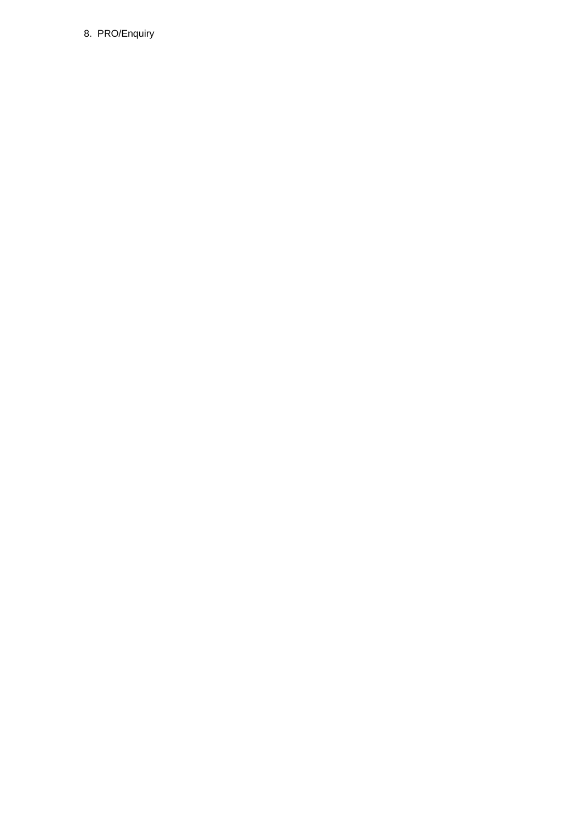## 8. PRO/Enquiry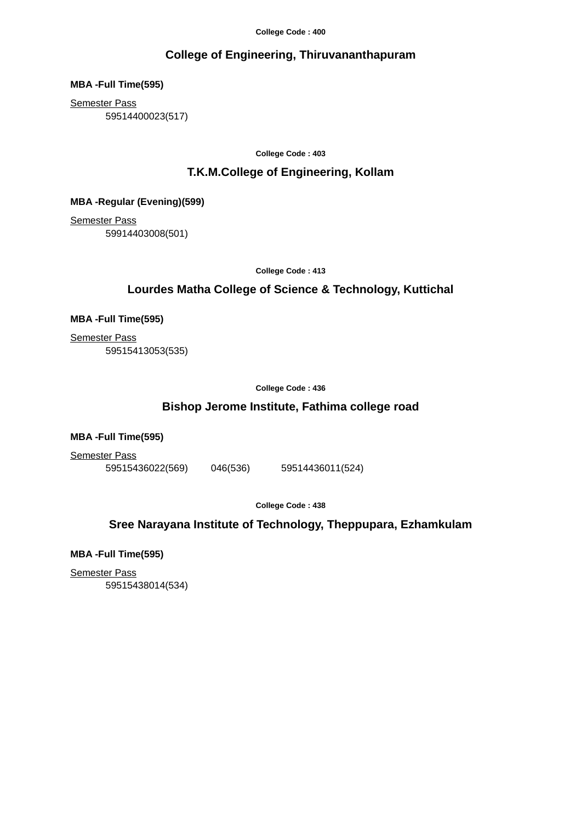## **College of Engineering, Thiruvananthapuram**

**MBA -Full Time(595)**

Semester Pass

59514400023(517)

**College Code : 403**

## **T.K.M.College of Engineering, Kollam**

**MBA -Regular (Evening)(599)**

Semester Pass 59914403008(501)

**College Code : 413**

## **Lourdes Matha College of Science & Technology, Kuttichal**

**MBA -Full Time(595)**

Semester Pass 59515413053(535)

**College Code : 436**

## **Bishop Jerome Institute, Fathima college road**

**MBA -Full Time(595)**

Semester Pass

59515436022(569) 046(536) 59514436011(524)

**College Code : 438**

**Sree Narayana Institute of Technology, Theppupara, Ezhamkulam**

**MBA -Full Time(595)**

Semester Pass 59515438014(534)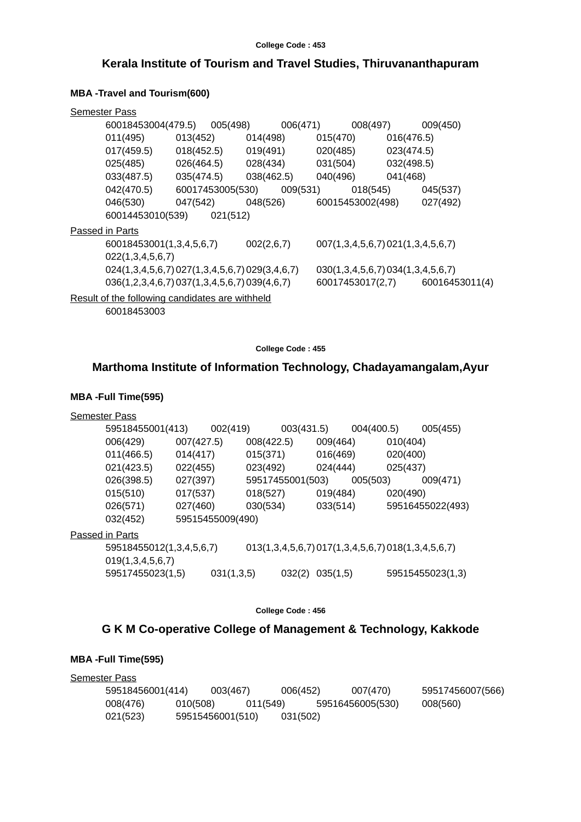## **Kerala Institute of Tourism and Travel Studies, Thiruvananthapuram**

## **MBA -Travel and Tourism(600)**

| <b>Semester Pass</b>   |                                                 |                  |          |            |          |                  |          |                                   |                |
|------------------------|-------------------------------------------------|------------------|----------|------------|----------|------------------|----------|-----------------------------------|----------------|
|                        | 60018453004(479.5)                              |                  | 005(498) |            | 006(471) |                  | 008(497) |                                   | 009(450)       |
|                        | 011(495)                                        | 013(452)         |          | 014(498)   |          | 015(470)         |          | 016(476.5)                        |                |
|                        | 017(459.5)                                      | 018(452.5)       |          | 019(491)   |          | 020(485)         |          | 023(474.5)                        |                |
|                        | 025(485)                                        | 026(464.5)       |          | 028(434)   |          | 031(504)         |          | 032(498.5)                        |                |
|                        | 033(487.5)                                      | 035(474.5)       |          | 038(462.5) |          | 040(496)         |          | 041(468)                          |                |
|                        | 042(470.5)                                      | 60017453005(530) |          |            | 009(531) |                  | 018(545) |                                   | 045(537)       |
|                        | 046(530)                                        | 047(542)         |          | 048(526)   |          | 60015453002(498) |          |                                   | 027(492)       |
|                        | 60014453010(539)                                |                  | 021(512) |            |          |                  |          |                                   |                |
| <b>Passed in Parts</b> |                                                 |                  |          |            |          |                  |          |                                   |                |
|                        | 60018453001(1,3,4,5,6,7)                        |                  |          | 002(2,6,7) |          |                  |          | 007(1,3,4,5,6,7) 021(1,3,4,5,6,7) |                |
|                        | 022(1,3,4,5,6,7)                                |                  |          |            |          |                  |          |                                   |                |
|                        | 024(1,3,4,5,6,7) 027(1,3,4,5,6,7) 029(3,4,6,7)  |                  |          |            |          |                  |          | 030(1,3,4,5,6,7)034(1,3,4,5,6,7)  |                |
|                        | 036(1,2,3,4,6,7) 037(1,3,4,5,6,7) 039(4,6,7)    |                  |          |            |          | 60017453017(2,7) |          |                                   | 60016453011(4) |
|                        | Result of the following candidates are withheld |                  |          |            |          |                  |          |                                   |                |
|                        | 60018453003                                     |                  |          |            |          |                  |          |                                   |                |

**College Code : 455**

## **Marthoma Institute of Information Technology, Chadayamangalam,Ayur**

## **MBA -Full Time(595)**

| <b>Semester Pass</b>     |            |                  |            |                  |          |                                                    |          |                  |
|--------------------------|------------|------------------|------------|------------------|----------|----------------------------------------------------|----------|------------------|
| 59518455001(413)         |            | 002(419)         |            | 003(431.5)       |          | 004(400.5)                                         |          | 005(455)         |
| 006(429)                 | 007(427.5) |                  | 008(422.5) |                  | 009(464) |                                                    | 010(404) |                  |
| 011(466.5)               | 014(417)   |                  | 015(371)   |                  | 016(469) |                                                    | 020(400) |                  |
| 021(423.5)               | 022(455)   |                  | 023(492)   |                  | 024(444) |                                                    | 025(437) |                  |
| 026(398.5)               | 027(397)   |                  |            | 59517455001(503) |          | 005(503)                                           |          | 009(471)         |
| 015(510)                 | 017(537)   |                  | 018(527)   |                  | 019(484) |                                                    | 020(490) |                  |
| 026(571)                 | 027(460)   |                  | 030(534)   |                  | 033(514) |                                                    |          | 59516455022(493) |
| 032(452)                 |            | 59515455009(490) |            |                  |          |                                                    |          |                  |
| <u>Passed in Parts</u>   |            |                  |            |                  |          |                                                    |          |                  |
| 59518455012(1,3,4,5,6,7) |            |                  |            |                  |          | 013(1,3,4,5,6,7) 017(1,3,4,5,6,7) 018(1,3,4,5,6,7) |          |                  |
| 019(1,3,4,5,6,7)         |            |                  |            |                  |          |                                                    |          |                  |
| 59517455023(1,5)         |            | 031(1,3,5)       |            | 032(2)           | 035(1,5) |                                                    |          | 59515455023(1,3) |
|                          |            |                  |            |                  |          |                                                    |          |                  |

**College Code : 456**

## **G K M Co-operative College of Management & Technology, Kakkode**

| <b>Semester Pass</b> |                  |                  |          |          |                  |                  |
|----------------------|------------------|------------------|----------|----------|------------------|------------------|
|                      | 59518456001(414) | 003(467)         |          | 006(452) | 007(470)         | 59517456007(566) |
|                      | 008(476)         | 010(508)         | 011(549) |          | 59516456005(530) | 008(560)         |
|                      | 021(523)         | 59515456001(510) |          | 031(502) |                  |                  |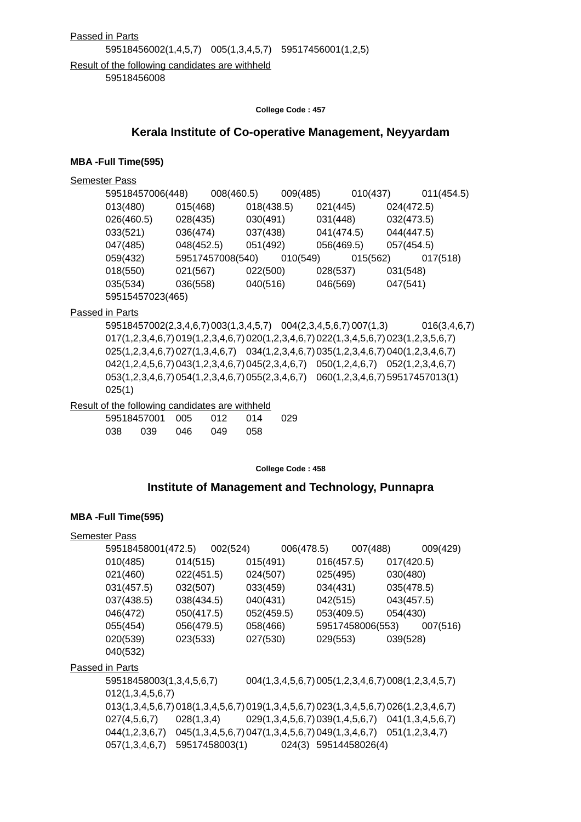#### Passed in Parts

59518456002(1,4,5,7) 005(1,3,4,5,7) 59517456001(1,2,5)

Result of the following candidates are withheld 59518456008

**College Code : 457**

## **Kerala Institute of Co-operative Management, Neyyardam**

#### **MBA -Full Time(595)**

| Semester Pass |  |
|---------------|--|
|               |  |

| 59518457006(448) |            | 008(460.5)       | 009(485) |            | 010(437) |            | 011(454.5) |
|------------------|------------|------------------|----------|------------|----------|------------|------------|
| 013(480)         | 015(468)   | 018(438.5)       |          | 021(445)   |          | 024(472.5) |            |
| 026(460.5)       | 028(435)   | 030(491)         |          | 031(448)   |          | 032(473.5) |            |
| 033(521)         | 036(474)   | 037(438)         |          | 041(474.5) |          | 044(447.5) |            |
| 047(485)         | 048(452.5) | 051(492)         |          | 056(469.5) |          | 057(454.5) |            |
| 059(432)         |            | 59517457008(540) | 010(549) |            | 015(562) |            | 017(518)   |
| 018(550)         | 021(567)   | 022(500)         |          | 028(537)   |          | 031(548)   |            |
| 035(534)         | 036(558)   | 040(516)         |          | 046(569)   |          | 047(541)   |            |
| 59515457023(465) |            |                  |          |            |          |            |            |

Passed in Parts

59518457002(2,3,4,6,7)003(1,3,4,5,7) 004(2,3,4,5,6,7)007(1,3) 016(3,4,6,7) 017(1,2,3,4,6,7)019(1,2,3,4,6,7)020(1,2,3,4,6,7)022(1,3,4,5,6,7)023(1,2,3,5,6,7) 025(1,2,3,4,6,7)027(1,3,4,6,7) 034(1,2,3,4,6,7)035(1,2,3,4,6,7)040(1,2,3,4,6,7) 042(1,2,4,5,6,7)043(1,2,3,4,6,7)045(2,3,4,6,7) 050(1,2,4,6,7) 052(1,2,3,4,6,7) 053(1,2,3,4,6,7)054(1,2,3,4,6,7)055(2,3,4,6,7) 060(1,2,3,4,6,7)59517457013(1) 025(1)

### Result of the following candidates are withheld

|  |  | 59518457001 005 012 014 | 029 |
|--|--|-------------------------|-----|
|  |  | 038 039 046 049 058     |     |

**College Code : 458**

## **Institute of Management and Technology, Punnapra**

| <b>Semester Pass</b> |                                                                                      |                |          |            |                                                    |            |                       |                |                  |
|----------------------|--------------------------------------------------------------------------------------|----------------|----------|------------|----------------------------------------------------|------------|-----------------------|----------------|------------------|
|                      | 59518458001(472.5)                                                                   |                | 002(524) |            | 006(478.5)                                         |            | 007(488)              |                | 009(429)         |
|                      | 010(485)                                                                             | 014(515)       |          | 015(491)   |                                                    | 016(457.5) |                       | 017(420.5)     |                  |
|                      | 021(460)                                                                             | 022(451.5)     |          | 024(507)   |                                                    | 025(495)   |                       | 030(480)       |                  |
|                      | 031(457.5)                                                                           | 032(507)       |          | 033(459)   |                                                    | 034(431)   |                       | 035(478.5)     |                  |
|                      | 037(438.5)                                                                           | 038(434.5)     |          | 040(431)   |                                                    | 042(515)   |                       | 043(457.5)     |                  |
|                      | 046(472)                                                                             | 050(417.5)     |          | 052(459.5) |                                                    | 053(409.5) |                       | 054(430)       |                  |
|                      | 055(454)                                                                             | 056(479.5)     |          | 058(466)   |                                                    |            | 59517458006(553)      |                | 007(516)         |
|                      | 020(539)                                                                             | 023(533)       |          | 027(530)   |                                                    | 029(553)   |                       | 039(528)       |                  |
|                      | 040(532)                                                                             |                |          |            |                                                    |            |                       |                |                  |
|                      | Passed in Parts                                                                      |                |          |            |                                                    |            |                       |                |                  |
|                      | 59518458003(1,3,4,5,6,7)                                                             |                |          |            | 004(1,3,4,5,6,7) 005(1,2,3,4,6,7) 008(1,2,3,4,5,7) |            |                       |                |                  |
|                      | 012(1,3,4,5,6,7)                                                                     |                |          |            |                                                    |            |                       |                |                  |
|                      | 013(1,3,4,5,6,7) 018(1,3,4,5,6,7) 019(1,3,4,5,6,7) 023(1,3,4,5,6,7) 026(1,2,3,4,6,7) |                |          |            |                                                    |            |                       |                |                  |
|                      | 027(4,5,6,7)                                                                         | 028(1,3,4)     |          |            | 029(1,3,4,5,6,7) 039(1,4,5,6,7)                    |            |                       |                | 041(1,3,4,5,6,7) |
|                      | 044(1,2,3,6,7)                                                                       |                |          |            | 045(1,3,4,5,6,7) 047(1,3,4,5,6,7) 049(1,3,4,6,7)   |            |                       | 051(1,2,3,4,7) |                  |
|                      | 057(1,3,4,6,7)                                                                       | 59517458003(1) |          |            |                                                    |            | 024(3) 59514458026(4) |                |                  |
|                      |                                                                                      |                |          |            |                                                    |            |                       |                |                  |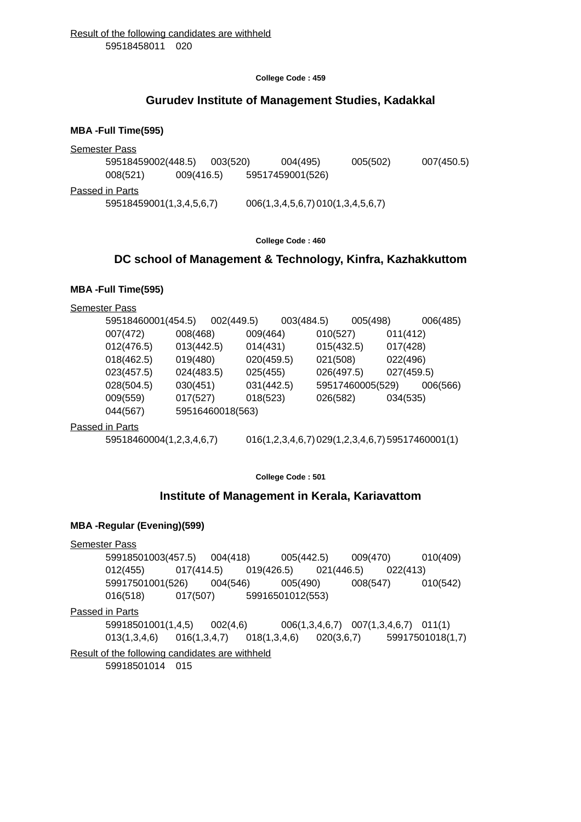## **Gurudev Institute of Management Studies, Kadakkal**

#### **MBA -Full Time(595)**

| <b>Semester Pass</b>     |            |          |                                  |          |            |
|--------------------------|------------|----------|----------------------------------|----------|------------|
| 59518459002(448.5)       |            | 003(520) | 004(495)                         | 005(502) | 007(450.5) |
| 008(521)                 | 009(416.5) |          | 59517459001(526)                 |          |            |
| Passed in Parts          |            |          |                                  |          |            |
| 59518459001(1,3,4,5,6,7) |            |          | 006(1,3,4,5,6,7)010(1,3,4,5,6,7) |          |            |
|                          |            |          |                                  |          |            |

#### **College Code : 460**

## **DC school of Management & Technology, Kinfra, Kazhakkuttom**

### **MBA -Full Time(595)**

Semester Pass

| 59518460001(454.5) |                  | 002(449.5) |            | 003(484.5) |            | 005(498)         |            | 006(485) |
|--------------------|------------------|------------|------------|------------|------------|------------------|------------|----------|
| 007(472)           | 008(468)         |            | 009(464)   |            | 010(527)   |                  | 011(412)   |          |
| 012(476.5)         | 013(442.5)       |            | 014(431)   |            | 015(432.5) |                  | 017(428)   |          |
| 018(462.5)         | 019(480)         |            | 020(459.5) |            | 021(508)   |                  | 022(496)   |          |
| 023(457.5)         | 024(483.5)       |            | 025(455)   |            | 026(497.5) |                  | 027(459.5) |          |
| 028(504.5)         | 030(451)         |            | 031(442.5) |            |            | 59517460005(529) |            | 006(566) |
| 009(559)           | 017(527)         |            | 018(523)   |            | 026(582)   |                  | 034(535)   |          |
| 044(567)           | 59516460018(563) |            |            |            |            |                  |            |          |
| cad in Darte       |                  |            |            |            |            |                  |            |          |

Passed in Parts

59518460004(1,2,3,4,6,7) 016(1,2,3,4,6,7)029(1,2,3,4,6,7)59517460001(1)

### **College Code : 501**

### **Institute of Management in Kerala, Kariavattom**

### **MBA -Regular (Evening)(599)**

Semester Pass 59918501003(457.5) 004(418) 005(442.5) 009(470) 010(409) 012(455) 017(414.5) 019(426.5) 021(446.5) 022(413) 59917501001(526) 004(546) 005(490) 008(547) 010(542) 016(518) 017(507) 59916501012(553) Passed in Parts 59918501001(1,4,5) 002(4,6) 006(1,3,4,6,7) 007(1,3,4,6,7) 011(1) 013(1,3,4,6) 016(1,3,4,7) 018(1,3,4,6) 020(3,6,7) 59917501018(1,7) Result of the following candidates are withheld 59918501014 015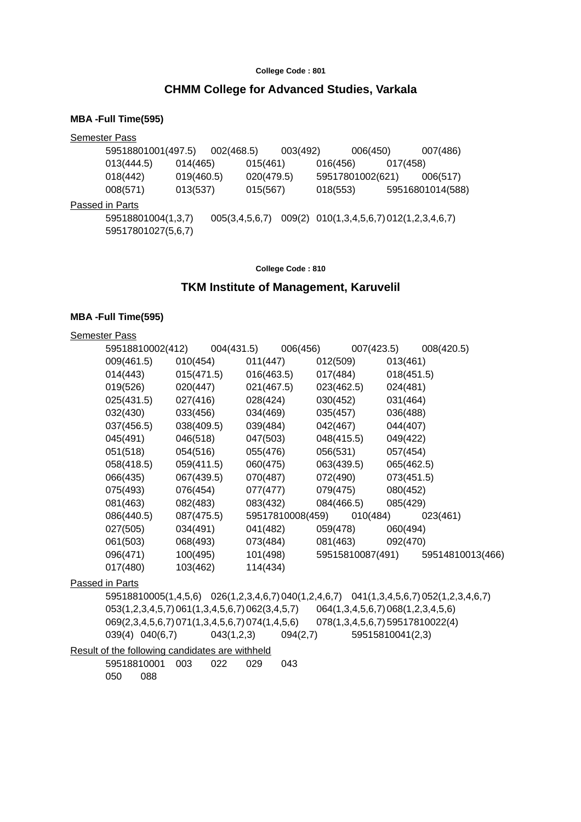### **CHMM College for Advanced Studies, Varkala**

#### **MBA -Full Time(595)**

Semester Pass 59518801001(497.5) 002(468.5) 003(492) 006(450) 007(486) 013(444.5) 014(465) 015(461) 016(456) 017(458) 018(442) 019(460.5) 020(479.5) 59517801002(621) 006(517) 008(571) 013(537) 015(567) 018(553) 59516801014(588) Passed in Parts 59518801004(1,3,7) 005(3,4,5,6,7) 009(2) 010(1,3,4,5,6,7)012(1,2,3,4,6,7) 59517801027(5,6,7)

**College Code : 810**

#### **TKM Institute of Management, Karuvelil**

#### **MBA -Full Time(595)**

#### Semester Pass

| 59518810002(412) | 004(431.5) | 006(456)         | 007(423.5)       |            | 008(420.5)       |
|------------------|------------|------------------|------------------|------------|------------------|
| 009(461.5)       | 010(454)   | 011(447)         | 012(509)         | 013(461)   |                  |
| 014(443)         | 015(471.5) | 016(463.5)       | 017(484)         | 018(451.5) |                  |
| 019(526)         | 020(447)   | 021(467.5)       | 023(462.5)       | 024(481)   |                  |
| 025(431.5)       | 027(416)   | 028(424)         | 030(452)         | 031(464)   |                  |
| 032(430)         | 033(456)   | 034(469)         | 035(457)         | 036(488)   |                  |
| 037(456.5)       | 038(409.5) | 039(484)         | 042(467)         | 044(407)   |                  |
| 045(491)         | 046(518)   | 047(503)         | 048(415.5)       | 049(422)   |                  |
| 051(518)         | 054(516)   | 055(476)         | 056(531)         | 057(454)   |                  |
| 058(418.5)       | 059(411.5) | 060(475)         | 063(439.5)       | 065(462.5) |                  |
| 066(435)         | 067(439.5) | 070(487)         | 072(490)         | 073(451.5) |                  |
| 075(493)         | 076(454)   | 077(477)         | 079(475)         | 080(452)   |                  |
| 081(463)         | 082(483)   | 083(432)         | 084(466.5)       | 085(429)   |                  |
| 086(440.5)       | 087(475.5) | 59517810008(459) | 010(484)         |            | 023(461)         |
| 027(505)         | 034(491)   | 041(482)         | 059(478)         | 060(494)   |                  |
| 061(503)         | 068(493)   | 073(484)         | 081(463)         | 092(470)   |                  |
| 096(471)         | 100(495)   | 101(498)         | 59515810087(491) |            | 59514810013(466) |
| 017(480)         | 103(462)   | 114(434)         |                  |            |                  |

#### Passed in Parts

59518810005(1,4,5,6) 026(1,2,3,4,6,7)040(1,2,4,6,7) 041(1,3,4,5,6,7)052(1,2,3,4,6,7) 053(1,2,3,4,5,7)061(1,3,4,5,6,7)062(3,4,5,7) 064(1,3,4,5,6,7)068(1,2,3,4,5,6) 069(2,3,4,5,6,7)071(1,3,4,5,6,7)074(1,4,5,6) 078(1,3,4,5,6,7)59517810022(4) 039(4) 040(6,7) 043(1,2,3) 094(2,7) 59515810041(2,3)

Result of the following candidates are withheld

59518810001 003 022 029 043 050 088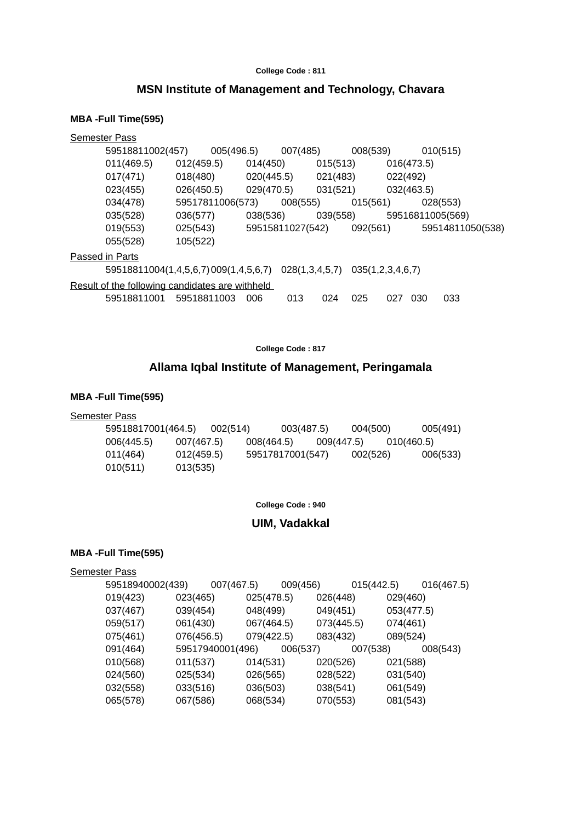## **MSN Institute of Management and Technology, Chavara**

## **MBA -Full Time(595)**

| <b>Semester Pass</b> |             |                                |                                                                                                                                  |                                                  |                                                            |                                                     |                                  |                                                                 |                                                              |
|----------------------|-------------|--------------------------------|----------------------------------------------------------------------------------------------------------------------------------|--------------------------------------------------|------------------------------------------------------------|-----------------------------------------------------|----------------------------------|-----------------------------------------------------------------|--------------------------------------------------------------|
|                      |             |                                |                                                                                                                                  |                                                  |                                                            |                                                     |                                  |                                                                 |                                                              |
| 011(469.5)           |             |                                |                                                                                                                                  |                                                  |                                                            |                                                     |                                  |                                                                 |                                                              |
| 017(471)             | 018(480)    |                                |                                                                                                                                  |                                                  |                                                            |                                                     |                                  |                                                                 |                                                              |
| 023(455)             | 026(450.5)  |                                |                                                                                                                                  |                                                  |                                                            |                                                     |                                  |                                                                 |                                                              |
| 034(478)             |             |                                |                                                                                                                                  |                                                  |                                                            |                                                     |                                  |                                                                 |                                                              |
| 035(528)             | 036(577)    |                                |                                                                                                                                  |                                                  |                                                            |                                                     |                                  |                                                                 |                                                              |
| 019(553)             | 025(543)    |                                |                                                                                                                                  |                                                  |                                                            |                                                     |                                  |                                                                 |                                                              |
| 055(528)             | 105(522)    |                                |                                                                                                                                  |                                                  |                                                            |                                                     |                                  |                                                                 |                                                              |
| Passed in Parts      |             |                                |                                                                                                                                  |                                                  |                                                            |                                                     |                                  |                                                                 |                                                              |
|                      |             |                                |                                                                                                                                  |                                                  |                                                            |                                                     |                                  |                                                                 |                                                              |
|                      |             |                                |                                                                                                                                  |                                                  |                                                            |                                                     |                                  |                                                                 |                                                              |
| 59518811001          | 59518811003 |                                | 013                                                                                                                              | 024                                              |                                                            | 027                                                 |                                  | 033                                                             |                                                              |
|                      |             | 59518811002(457)<br>012(459.5) | 005(496.5)<br>59517811006(573)<br>59518811004(1,4,5,6,7)009(1,4,5,6,7)<br>Result of the following candidates are withheld<br>006 | 014(450)<br>020(445.5)<br>029(470.5)<br>038(536) | 007(485)<br>008(555)<br>59515811027(542)<br>028(1,3,4,5,7) | 015(513)<br>021(483)<br>031(521)<br>039(558)<br>025 | 008(539)<br>015(561)<br>092(561) | 016(473.5)<br>022(492)<br>032(463.5)<br>035(1,2,3,4,6,7)<br>030 | 010(515)<br>028(553)<br>59516811005(569)<br>59514811050(538) |

**College Code : 817**

## **Allama Iqbal Institute of Management, Peringamala**

## **MBA -Full Time(595)**

#### **Semester Pass**

| 59518817001(464.5) |            | 002(514) |                  | 003(487.5) | 004(500)   |            | 005(491) |
|--------------------|------------|----------|------------------|------------|------------|------------|----------|
| 006(445.5)         | 007(467.5) |          | 008(464.5)       |            | 009(447.5) | 010(460.5) |          |
| 011(464)           | 012(459.5) |          | 59517817001(547) |            | 002(526)   |            | 006(533) |
| 010(511)           | 013(535)   |          |                  |            |            |            |          |

#### **College Code : 940**

## **UIM, Vadakkal**

## **MBA -Full Time(595)**

#### Semester Pass

| 59518940002(439) | 007(467.5)       |            | 009(456) |            | 015(442.5) |            | 016(467.5) |
|------------------|------------------|------------|----------|------------|------------|------------|------------|
| 019(423)         | 023(465)         | 025(478.5) |          | 026(448)   |            | 029(460)   |            |
| 037(467)         | 039(454)         | 048(499)   |          | 049(451)   |            | 053(477.5) |            |
| 059(517)         | 061(430)         | 067(464.5) |          | 073(445.5) |            | 074(461)   |            |
| 075(461)         | 076(456.5)       | 079(422.5) |          | 083(432)   |            | 089(524)   |            |
| 091(464)         | 59517940001(496) |            | 006(537) |            | 007(538)   |            | 008(543)   |
| 010(568)         | 011(537)         | 014(531)   |          | 020(526)   |            | 021(588)   |            |
| 024(560)         | 025(534)         | 026(565)   |          | 028(522)   |            | 031(540)   |            |
| 032(558)         | 033(516)         | 036(503)   |          | 038(541)   |            | 061(549)   |            |
| 065(578)         | 067(586)         | 068(534)   |          | 070(553)   |            | 081(543)   |            |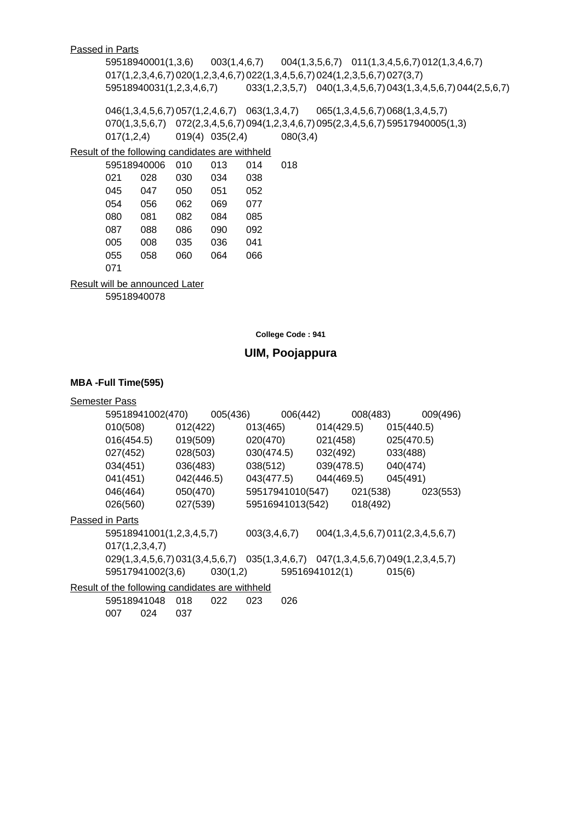## Passed in Parts

59518940001(1,3,6) 003(1,4,6,7) 004(1,3,5,6,7) 011(1,3,4,5,6,7)012(1,3,4,6,7) 017(1,2,3,4,6,7)020(1,2,3,4,6,7)022(1,3,4,5,6,7)024(1,2,3,5,6,7)027(3,7) 59518940031(1,2,3,4,6,7) 033(1,2,3,5,7) 040(1,3,4,5,6,7)043(1,3,4,5,6,7)044(2,5,6,7)

046(1,3,4,5,6,7)057(1,2,4,6,7) 063(1,3,4,7) 065(1,3,4,5,6,7)068(1,3,4,5,7) 070(1,3,5,6,7) 072(2,3,4,5,6,7)094(1,2,3,4,6,7)095(2,3,4,5,6,7)59517940005(1,3) 017(1,2,4) 019(4) 035(2,4) 080(3,4)

### Result of the following candidates are withheld

|     | 59518940006 |     | 013 | 014 | 018 |
|-----|-------------|-----|-----|-----|-----|
| 021 | 028         | 030 | 034 | 038 |     |
| 045 | 047         | 050 | 051 | 052 |     |
| 054 | 056         | 062 | 069 | 077 |     |
| 080 | 081         | 082 | 084 | 085 |     |
| 087 | 088         | 086 | 090 | 092 |     |
| 005 | 008         | 035 | 036 | 041 |     |
| 055 | 058         | 060 | 064 | 066 |     |
| 071 |             |     |     |     |     |

Result will be announced Later

007 024 037

59518940078

**College Code : 941**

## **UIM, Poojappura**

| <b>Semester Pass</b>                                                             |            |          |              |                  |                |          |            |                                   |
|----------------------------------------------------------------------------------|------------|----------|--------------|------------------|----------------|----------|------------|-----------------------------------|
| 59518941002(470)                                                                 |            | 005(436) |              | 006(442)         |                | 008(483) |            | 009(496)                          |
| 010(508)                                                                         | 012(422)   |          | 013(465)     |                  | 014(429.5)     |          | 015(440.5) |                                   |
| 016(454.5)                                                                       | 019(509)   |          | 020(470)     |                  | 021(458)       |          | 025(470.5) |                                   |
| 027(452)                                                                         | 028(503)   |          | 030(474.5)   |                  | 032(492)       |          | 033(488)   |                                   |
| 034(451)                                                                         | 036(483)   |          | 038(512)     |                  | 039(478.5)     |          | 040(474)   |                                   |
| 041(451)                                                                         | 042(446.5) |          | 043(477.5)   |                  | 044(469.5)     |          | 045(491)   |                                   |
| 046(464)                                                                         | 050(470)   |          |              | 59517941010(547) |                | 021(538) |            | 023(553)                          |
| 026(560)                                                                         | 027(539)   |          |              | 59516941013(542) |                | 018(492) |            |                                   |
| Passed in Parts                                                                  |            |          |              |                  |                |          |            |                                   |
| 59518941001(1,2,3,4,5,7)                                                         |            |          | 003(3,4,6,7) |                  |                |          |            | 004(1,3,4,5,6,7) 011(2,3,4,5,6,7) |
| 017(1,2,3,4,7)                                                                   |            |          |              |                  |                |          |            |                                   |
| 029(1,3,4,5,6,7) 031(3,4,5,6,7) 035(1,3,4,6,7) 047(1,3,4,5,6,7) 049(1,2,3,4,5,7) |            |          |              |                  |                |          |            |                                   |
| 59517941002(3,6)                                                                 |            | 030(1,2) |              |                  | 59516941012(1) |          | 015(6)     |                                   |
| Result of the following candidates are withheld                                  |            |          |              |                  |                |          |            |                                   |
| 59518941048                                                                      | 018        | 022      | 023          | 026              |                |          |            |                                   |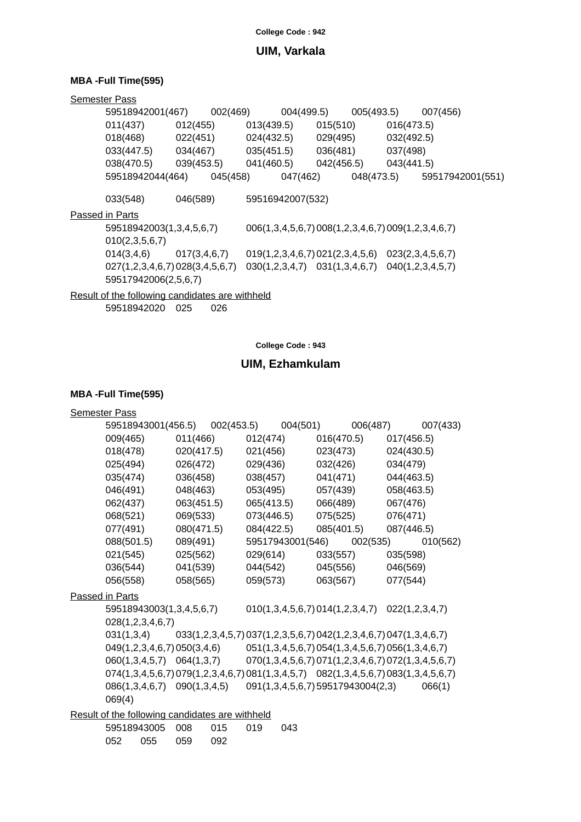## **UIM, Varkala**

## **MBA -Full Time(595)**

| <b>Semester Pass</b>                            |              |          |                                   |          |          |                       |                                                    |                  |
|-------------------------------------------------|--------------|----------|-----------------------------------|----------|----------|-----------------------|----------------------------------------------------|------------------|
| 59518942001(467)                                |              | 002(469) |                                   |          |          | 004(499.5) 005(493.5) |                                                    | 007(456)         |
| 011(437)                                        | 012(455)     |          | 013(439.5)                        |          | 015(510) |                       | 016(473.5)                                         |                  |
| 018(468)                                        | 022(451)     |          | 024(432.5)                        |          | 029(495) |                       | 032(492.5)                                         |                  |
| 033(447.5)                                      | 034(467)     |          | 035(451.5)                        |          | 036(481) |                       | 037(498)                                           |                  |
| 038(470.5) 039(453.5)                           |              |          |                                   |          |          |                       | 041(460.5) 042(456.5) 043(441.5)                   |                  |
| 59518942044(464)                                |              | 045(458) |                                   | 047(462) |          | 048(473.5)            |                                                    | 59517942001(551) |
| 033(548)                                        | 046(589)     |          | 59516942007(532)                  |          |          |                       |                                                    |                  |
| Passed in Parts                                 |              |          |                                   |          |          |                       |                                                    |                  |
| 59518942003(1,3,4,5,6,7)                        |              |          |                                   |          |          |                       | 006(1,3,4,5,6,7) 008(1,2,3,4,6,7) 009(1,2,3,4,6,7) |                  |
| 010(2,3,5,6,7)                                  |              |          |                                   |          |          |                       |                                                    |                  |
| 014(3, 4, 6)                                    | 017(3,4,6,7) |          | 019(1,2,3,4,6,7) 021(2,3,4,5,6)   |          |          |                       | 023(2,3,4,5,6,7)                                   |                  |
| 027(1,2,3,4,6,7) 028(3,4,5,6,7)                 |              |          | $030(1,2,3,4,7)$ $031(1,3,4,6,7)$ |          |          |                       | 040(1,2,3,4,5,7)                                   |                  |
| 59517942006(2,5,6,7)                            |              |          |                                   |          |          |                       |                                                    |                  |
| Result of the following candidates are withheld |              |          |                                   |          |          |                       |                                                    |                  |

59518942020 025 026

**College Code : 943**

## **UIM, Ezhamkulam**

| <b>Semester Pass</b> |                          |              |                                                                   |            |                                                  |            |            |                |                                                                                    |
|----------------------|--------------------------|--------------|-------------------------------------------------------------------|------------|--------------------------------------------------|------------|------------|----------------|------------------------------------------------------------------------------------|
|                      | 59518943001(456.5)       |              | 002(453.5)                                                        |            | 004(501)                                         |            | 006(487)   |                | 007(433)                                                                           |
| 009(465)             |                          | 011(466)     |                                                                   | 012(474)   |                                                  |            | 016(470.5) | 017(456.5)     |                                                                                    |
| 018(478)             |                          | 020(417.5)   |                                                                   | 021(456)   |                                                  | 023(473)   |            | 024(430.5)     |                                                                                    |
| 025(494)             |                          | 026(472)     |                                                                   | 029(436)   |                                                  | 032(426)   |            | 034(479)       |                                                                                    |
| 035(474)             |                          | 036(458)     |                                                                   | 038(457)   |                                                  |            | 041(471)   | 044(463.5)     |                                                                                    |
| 046(491)             |                          | 048(463)     |                                                                   | 053(495)   |                                                  |            | 057(439)   | 058(463.5)     |                                                                                    |
| 062(437)             |                          | 063(451.5)   |                                                                   |            | 065(413.5)                                       |            | 066(489)   | 067(476)       |                                                                                    |
| 068(521)             |                          | 069(533)     |                                                                   | 073(446.5) |                                                  | 075(525)   |            | 076(471)       |                                                                                    |
| 077(491)             |                          | 080(471.5)   |                                                                   | 084(422.5) |                                                  | 085(401.5) |            | 087(446.5)     |                                                                                    |
| 088(501.5)           |                          | 089(491)     |                                                                   |            | 59517943001(546)                                 |            | 002(535)   |                | 010(562)                                                                           |
| 021(545)             |                          | 025(562)     |                                                                   |            | 029(614)                                         | 033(557)   |            | 035(598)       |                                                                                    |
| 036(544)             |                          | 041(539)     |                                                                   |            | 044(542)                                         |            | 045(556)   | 046(569)       |                                                                                    |
| 056(558)             |                          | 058(565)     |                                                                   | 059(573)   |                                                  | 063(567)   |            | 077(544)       |                                                                                    |
| Passed in Parts      |                          |              |                                                                   |            |                                                  |            |            |                |                                                                                    |
|                      | 59518943003(1,3,4,5,6,7) |              |                                                                   |            | 010(1,3,4,5,6,7)014(1,2,3,4,7)                   |            |            | 022(1,2,3,4,7) |                                                                                    |
|                      | 028(1,2,3,4,6,7)         |              |                                                                   |            |                                                  |            |            |                |                                                                                    |
| 031(1,3,4)           |                          |              | 033(1,2,3,4,5,7) 037(1,2,3,5,6,7) 042(1,2,3,4,6,7) 047(1,3,4,6,7) |            |                                                  |            |            |                |                                                                                    |
|                      |                          |              | 049(1,2,3,4,6,7) 050(3,4,6)                                       |            | 051(1,3,4,5,6,7) 054(1,3,4,5,6,7) 056(1,3,4,6,7) |            |            |                |                                                                                    |
|                      | 060(1,3,4,5,7)           |              | 064(1,3,7)                                                        |            |                                                  |            |            |                | 070(1,3,4,5,6,7) 071(1,2,3,4,6,7) 072(1,3,4,5,6,7)                                 |
|                      |                          |              |                                                                   |            |                                                  |            |            |                | 074(1,3,4,5,6,7) 079(1,2,3,4,6,7) 081(1,3,4,5,7) 082(1,3,4,5,6,7) 083(1,3,4,5,6,7) |
|                      | 086(1,3,4,6,7)           | 090(1,3,4,5) |                                                                   |            | 091(1,3,4,5,6,7) 59517943004(2,3)                |            |            |                | 066(1)                                                                             |
| 069(4)               |                          |              |                                                                   |            |                                                  |            |            |                |                                                                                    |
|                      |                          |              | Result of the following candidates are withheld                   |            |                                                  |            |            |                |                                                                                    |
|                      | 59518943005              | 008          | 015                                                               | 019        | 043                                              |            |            |                |                                                                                    |
| 052                  | 055                      | 059          | 092                                                               |            |                                                  |            |            |                |                                                                                    |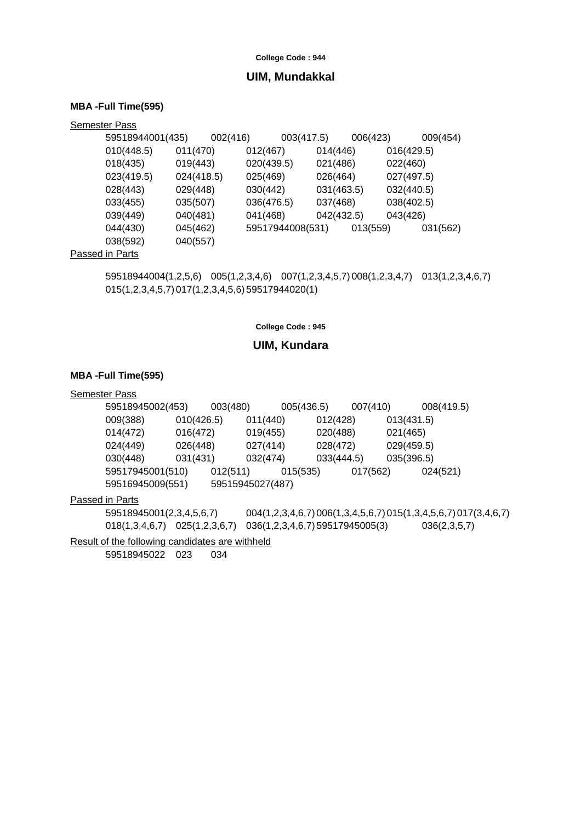### **UIM, Mundakkal**

#### **MBA -Full Time(595)**

| <b>Semester Pass</b> |                  |            |          |                  |            |            |          |            |          |
|----------------------|------------------|------------|----------|------------------|------------|------------|----------|------------|----------|
|                      | 59518944001(435) |            | 002(416) |                  | 003(417.5) |            | 006(423) |            | 009(454) |
|                      | 010(448.5)       | 011(470)   |          | 012(467)         |            | 014(446)   |          | 016(429.5) |          |
|                      | 018(435)         | 019(443)   |          | 020(439.5)       |            | 021(486)   |          | 022(460)   |          |
|                      | 023(419.5)       | 024(418.5) |          | 025(469)         |            | 026(464)   |          | 027(497.5) |          |
|                      | 028(443)         | 029(448)   |          | 030(442)         |            | 031(463.5) |          | 032(440.5) |          |
|                      | 033(455)         | 035(507)   |          | 036(476.5)       |            | 037(468)   |          | 038(402.5) |          |
|                      | 039(449)         | 040(481)   |          | 041(468)         |            | 042(432.5) |          | 043(426)   |          |
|                      | 044(430)         | 045(462)   |          | 59517944008(531) |            |            | 013(559) |            | 031(562) |
|                      | 038(592)         | 040(557)   |          |                  |            |            |          |            |          |
|                      | Dessed in Denis  |            |          |                  |            |            |          |            |          |

#### Passed in Parts

59518944004(1,2,5,6) 005(1,2,3,4,6) 007(1,2,3,4,5,7)008(1,2,3,4,7) 013(1,2,3,4,6,7) 015(1,2,3,4,5,7)017(1,2,3,4,5,6)59517944020(1)

#### **College Code : 945**

### **UIM, Kundara**

#### **MBA -Full Time(595)**

#### Semester Pass

| 59518945002(453) |            | 003(480)         |          | 005(436.5) | 007(410) |            | 008(419.5) |
|------------------|------------|------------------|----------|------------|----------|------------|------------|
| 009(388)         | 010(426.5) |                  | 011(440) | 012(428)   |          | 013(431.5) |            |
| 014(472)         | 016(472)   |                  | 019(455) | 020(488)   |          | 021(465)   |            |
| 024(449)         | 026(448)   |                  | 027(414) | 028(472)   |          | 029(459.5) |            |
| 030(448)         | 031(431)   |                  | 032(474) | 033(444.5) |          | 035(396.5) |            |
| 59517945001(510) |            | 012(511)         | 015(535) |            | 017(562) |            | 024(521)   |
| 59516945009(551) |            | 59515945027(487) |          |            |          |            |            |

#### Passed in Parts

59518945001(2,3,4,5,6,7) 004(1,2,3,4,6,7)006(1,3,4,5,6,7)015(1,3,4,5,6,7)017(3,4,6,7) 018(1,3,4,6,7) 025(1,2,3,6,7) 036(1,2,3,4,6,7)59517945005(3) 036(2,3,5,7)

Result of the following candidates are withheld

59518945022 023 034